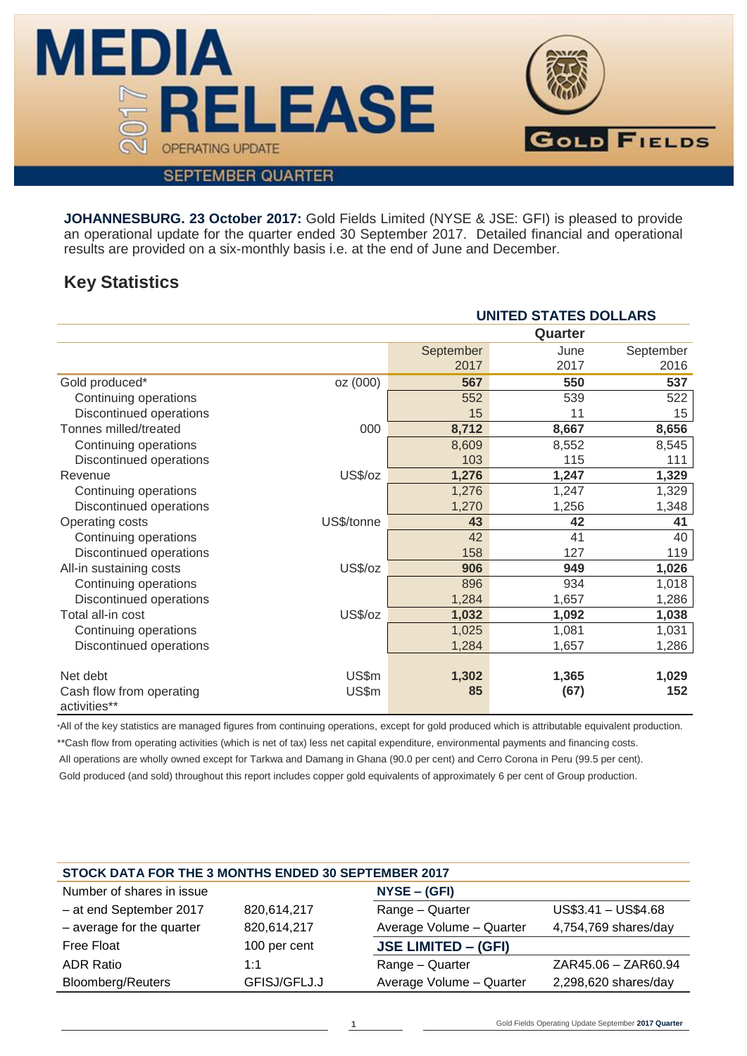

# **SEPTEMBER QUARTER**

**JOHANNESBURG. 23 October 2017:** Gold Fields Limited (NYSE & JSE: GFI) is pleased to provide an operational update for the quarter ended 30 September 2017. Detailed financial and operational results are provided on a six-monthly basis i.e. at the end of June and December.

# **Key Statistics**

|                                          | <b>UNITED STATES DOLLARS</b> |           |         |           |  |  |  |  |
|------------------------------------------|------------------------------|-----------|---------|-----------|--|--|--|--|
|                                          |                              |           | Quarter |           |  |  |  |  |
|                                          |                              | September | June    | September |  |  |  |  |
|                                          |                              | 2017      | 2017    | 2016      |  |  |  |  |
| Gold produced*                           | oz (000)                     | 567       | 550     | 537       |  |  |  |  |
| Continuing operations                    |                              | 552       | 539     | 522       |  |  |  |  |
| Discontinued operations                  |                              | 15        | 11      | 15        |  |  |  |  |
| Tonnes milled/treated                    | 000                          | 8,712     | 8,667   | 8,656     |  |  |  |  |
| Continuing operations                    |                              | 8,609     | 8,552   | 8,545     |  |  |  |  |
| Discontinued operations                  |                              | 103       | 115     | 111       |  |  |  |  |
| Revenue                                  | US\$/oz                      | 1,276     | 1,247   | 1,329     |  |  |  |  |
| Continuing operations                    |                              | 1,276     | 1,247   | 1,329     |  |  |  |  |
| Discontinued operations                  |                              | 1,270     | 1,256   | 1,348     |  |  |  |  |
| Operating costs                          | US\$/tonne                   | 43        | 42      | 41        |  |  |  |  |
| Continuing operations                    |                              | 42        | 41      | 40        |  |  |  |  |
| Discontinued operations                  |                              | 158       | 127     | 119       |  |  |  |  |
| All-in sustaining costs                  | US\$/oz                      | 906       | 949     | 1,026     |  |  |  |  |
| Continuing operations                    |                              | 896       | 934     | 1,018     |  |  |  |  |
| Discontinued operations                  |                              | 1,284     | 1,657   | 1,286     |  |  |  |  |
| Total all-in cost                        | US\$/oz                      | 1,032     | 1,092   | 1,038     |  |  |  |  |
| Continuing operations                    |                              | 1,025     | 1,081   | 1,031     |  |  |  |  |
| Discontinued operations                  |                              | 1,284     | 1,657   | 1,286     |  |  |  |  |
|                                          |                              |           |         |           |  |  |  |  |
| Net debt                                 | US\$m                        | 1,302     | 1,365   | 1,029     |  |  |  |  |
| Cash flow from operating<br>activities** | US\$m                        | 85        | (67)    | 152       |  |  |  |  |

\*All of the key statistics are managed figures from continuing operations, except for gold produced which is attributable equivalent production. \*\*Cash flow from operating activities (which is net of tax) less net capital expenditure, environmental payments and financing costs. All operations are wholly owned except for Tarkwa and Damang in Ghana (90.0 per cent) and Cerro Corona in Peru (99.5 per cent). Gold produced (and sold) throughout this report includes copper gold equivalents of approximately 6 per cent of Group production.

| STOCK DATA FOR THE 3 MONTHS ENDED 30 SEPTEMBER 2017 |              |                            |                      |  |  |  |  |  |  |  |
|-----------------------------------------------------|--------------|----------------------------|----------------------|--|--|--|--|--|--|--|
| Number of shares in issue                           |              | $NYSE - (GFI)$             |                      |  |  |  |  |  |  |  |
| - at end September 2017                             | 820,614,217  | Range - Quarter            | $US$3.41 - US$4.68$  |  |  |  |  |  |  |  |
| $-$ average for the quarter                         | 820,614,217  | Average Volume - Quarter   | 4,754,769 shares/day |  |  |  |  |  |  |  |
| Free Float                                          | 100 per cent | <b>JSE LIMITED - (GFI)</b> |                      |  |  |  |  |  |  |  |
| <b>ADR Ratio</b>                                    | 1:1          | Range - Quarter            | ZAR45.06 - ZAR60.94  |  |  |  |  |  |  |  |
| <b>Bloomberg/Reuters</b>                            | GFISJ/GFLJ.J | Average Volume - Quarter   | 2,298,620 shares/day |  |  |  |  |  |  |  |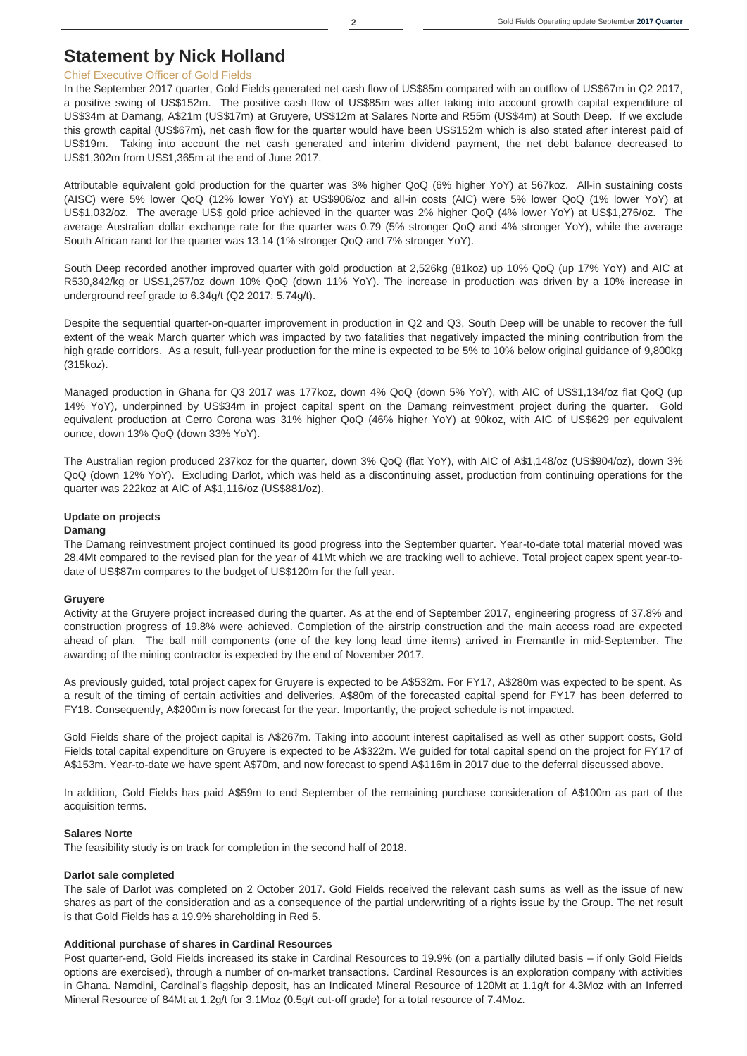# **Statement by Nick Holland**

### Chief Executive Officer of Gold Fields

In the September 2017 quarter, Gold Fields generated net cash flow of US\$85m compared with an outflow of US\$67m in Q2 2017, a positive swing of US\$152m. The positive cash flow of US\$85m was after taking into account growth capital expenditure of US\$34m at Damang, A\$21m (US\$17m) at Gruyere, US\$12m at Salares Norte and R55m (US\$4m) at South Deep. If we exclude this growth capital (US\$67m), net cash flow for the quarter would have been US\$152m which is also stated after interest paid of US\$19m. Taking into account the net cash generated and interim dividend payment, the net debt balance decreased to US\$1,302m from US\$1,365m at the end of June 2017.

Attributable equivalent gold production for the quarter was 3% higher QoQ (6% higher YoY) at 567koz. All-in sustaining costs (AISC) were 5% lower QoQ (12% lower YoY) at US\$906/oz and all-in costs (AIC) were 5% lower QoQ (1% lower YoY) at US\$1,032/oz. The average US\$ gold price achieved in the quarter was 2% higher QoQ (4% lower YoY) at US\$1,276/oz. The average Australian dollar exchange rate for the quarter was 0.79 (5% stronger QoQ and 4% stronger YoY), while the average South African rand for the quarter was 13.14 (1% stronger QoQ and 7% stronger YoY).

South Deep recorded another improved quarter with gold production at 2,526kg (81koz) up 10% QoQ (up 17% YoY) and AIC at R530,842/kg or US\$1,257/oz down 10% QoQ (down 11% YoY). The increase in production was driven by a 10% increase in underground reef grade to 6.34g/t (Q2 2017: 5.74g/t).

Despite the sequential quarter-on-quarter improvement in production in Q2 and Q3, South Deep will be unable to recover the full extent of the weak March quarter which was impacted by two fatalities that negatively impacted the mining contribution from the high grade corridors. As a result, full-year production for the mine is expected to be 5% to 10% below original guidance of 9,800kg (315koz).

Managed production in Ghana for Q3 2017 was 177koz, down 4% QoQ (down 5% YoY), with AIC of US\$1,134/oz flat QoQ (up 14% YoY), underpinned by US\$34m in project capital spent on the Damang reinvestment project during the quarter. Gold equivalent production at Cerro Corona was 31% higher QoQ (46% higher YoY) at 90koz, with AIC of US\$629 per equivalent ounce, down 13% QoQ (down 33% YoY).

The Australian region produced 237koz for the quarter, down 3% QoQ (flat YoY), with AIC of A\$1,148/oz (US\$904/oz), down 3% QoQ (down 12% YoY). Excluding Darlot, which was held as a discontinuing asset, production from continuing operations for the quarter was 222koz at AIC of A\$1,116/oz (US\$881/oz).

### **Update on projects**

### **Damang**

The Damang reinvestment project continued its good progress into the September quarter. Year-to-date total material moved was 28.4Mt compared to the revised plan for the year of 41Mt which we are tracking well to achieve. Total project capex spent year-todate of US\$87m compares to the budget of US\$120m for the full year.

#### **Gruyere**

Activity at the Gruyere project increased during the quarter. As at the end of September 2017, engineering progress of 37.8% and construction progress of 19.8% were achieved. Completion of the airstrip construction and the main access road are expected ahead of plan. The ball mill components (one of the key long lead time items) arrived in Fremantle in mid-September. The awarding of the mining contractor is expected by the end of November 2017.

As previously guided, total project capex for Gruyere is expected to be A\$532m. For FY17, A\$280m was expected to be spent. As a result of the timing of certain activities and deliveries, A\$80m of the forecasted capital spend for FY17 has been deferred to FY18. Consequently, A\$200m is now forecast for the year. Importantly, the project schedule is not impacted.

Gold Fields share of the project capital is A\$267m. Taking into account interest capitalised as well as other support costs, Gold Fields total capital expenditure on Gruyere is expected to be A\$322m. We guided for total capital spend on the project for FY17 of A\$153m. Year-to-date we have spent A\$70m, and now forecast to spend A\$116m in 2017 due to the deferral discussed above.

In addition, Gold Fields has paid A\$59m to end September of the remaining purchase consideration of A\$100m as part of the acquisition terms.

#### **Salares Norte**

The feasibility study is on track for completion in the second half of 2018.

#### **Darlot sale completed**

The sale of Darlot was completed on 2 October 2017. Gold Fields received the relevant cash sums as well as the issue of new shares as part of the consideration and as a consequence of the partial underwriting of a rights issue by the Group. The net result is that Gold Fields has a 19.9% shareholding in Red 5.

### **Additional purchase of shares in Cardinal Resources**

Post quarter-end, Gold Fields increased its stake in Cardinal Resources to 19.9% (on a partially diluted basis – if only Gold Fields options are exercised), through a number of on-market transactions. Cardinal Resources is an exploration company with activities in Ghana. Namdini, Cardinal's flagship deposit, has an Indicated Mineral Resource of 120Mt at 1.1g/t for 4.3Moz with an Inferred Mineral Resource of 84Mt at 1.2g/t for 3.1Moz (0.5g/t cut-off grade) for a total resource of 7.4Moz.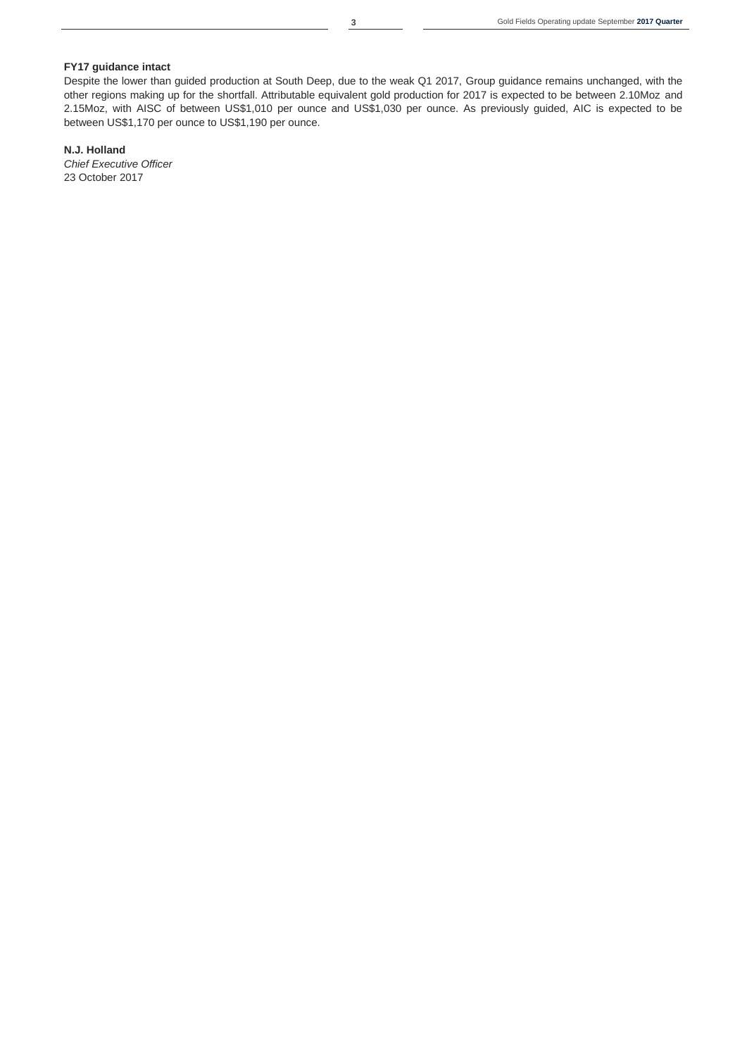## **FY17 guidance intact**

Despite the lower than guided production at South Deep, due to the weak Q1 2017, Group guidance remains unchanged, with the other regions making up for the shortfall. Attributable equivalent gold production for 2017 is expected to be between 2.10Moz and 2.15Moz, with AISC of between US\$1,010 per ounce and US\$1,030 per ounce. As previously guided, AIC is expected to be between US\$1,170 per ounce to US\$1,190 per ounce.

### **N.J. Holland**

*Chief Executive Officer* 23 October 2017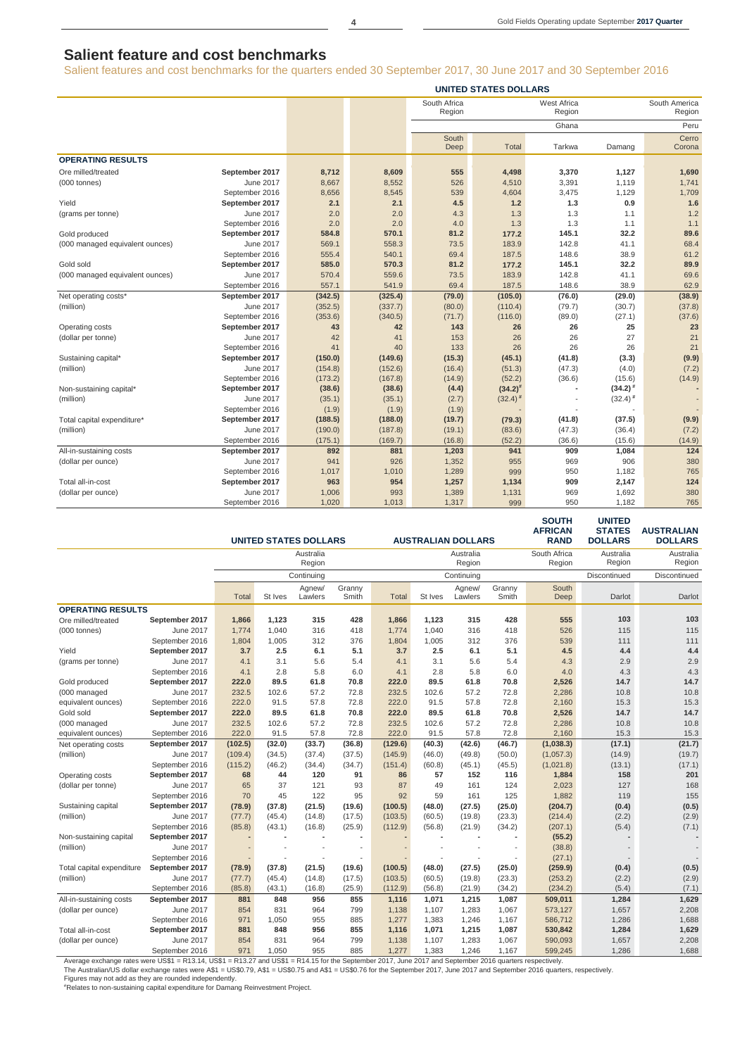# **Salient feature and cost benchmarks**

Salient features and cost benchmarks for the quarters ended 30 September 2017, 30 June 2017 and 30 September 2016

|                                 | <b>UNITED STATES DOLLARS</b> |         |         |                        |              |                              |              |                         |  |  |  |
|---------------------------------|------------------------------|---------|---------|------------------------|--------------|------------------------------|--------------|-------------------------|--|--|--|
|                                 |                              |         |         | South Africa<br>Region |              | <b>West Africa</b><br>Region |              | South America<br>Region |  |  |  |
|                                 |                              |         |         |                        |              |                              |              |                         |  |  |  |
|                                 |                              |         |         |                        |              | Ghana                        |              | Peru                    |  |  |  |
|                                 |                              |         |         | South<br>Deep          | Total        | Tarkwa                       | Damang       | Cerro<br>Corona         |  |  |  |
| <b>OPERATING RESULTS</b>        |                              |         |         |                        |              |                              |              |                         |  |  |  |
| Ore milled/treated              | September 2017               | 8,712   | 8,609   | 555                    | 4,498        | 3,370                        | 1,127        | 1,690                   |  |  |  |
| $(000$ tonnes)                  | June 2017                    | 8,667   | 8,552   | 526                    | 4,510        | 3,391                        | 1,119        | 1,741                   |  |  |  |
|                                 | September 2016               | 8,656   | 8,545   | 539                    | 4,604        | 3,475                        | 1,129        | 1,709                   |  |  |  |
| Yield                           | September 2017               | 2.1     | 2.1     | 4.5                    | $1.2$        | 1.3                          | 0.9          | 1.6                     |  |  |  |
| (grams per tonne)               | June 2017                    | 2.0     | 2.0     | 4.3                    | 1.3          | 1.3                          | 1.1          | 1.2                     |  |  |  |
|                                 | September 2016               | 2.0     | 2.0     | 4.0                    | 1.3          | 1.3                          | 1.1          | 1.1                     |  |  |  |
| Gold produced                   | September 2017               | 584.8   | 570.1   | 81.2                   | 177.2        | 145.1                        | 32.2         | 89.6                    |  |  |  |
| (000 managed equivalent ounces) | June 2017                    | 569.1   | 558.3   | 73.5                   | 183.9        | 142.8                        | 41.1         | 68.4                    |  |  |  |
|                                 | September 2016               | 555.4   | 540.1   | 69.4                   | 187.5        | 148.6                        | 38.9         | 61.2                    |  |  |  |
| Gold sold                       | September 2017               | 585.0   | 570.3   | 81.2                   | 177.2        | 145.1                        | 32.2         | 89.9                    |  |  |  |
| (000 managed equivalent ounces) | June 2017                    | 570.4   | 559.6   | 73.5                   | 183.9        | 142.8                        | 41.1         | 69.6                    |  |  |  |
|                                 | September 2016               | 557.1   | 541.9   | 69.4                   | 187.5        | 148.6                        | 38.9         | 62.9                    |  |  |  |
| Net operating costs*            | September 2017               | (342.5) | (325.4) | (79.0)                 | (105.0)      | (76.0)                       | (29.0)       | (38.9)                  |  |  |  |
| (million)                       | June 2017                    | (352.5) | (337.7) | (80.0)                 | (110.4)      | (79.7)                       | (30.7)       | (37.8)                  |  |  |  |
|                                 | September 2016               | (353.6) | (340.5) | (71.7)                 | (116.0)      | (89.0)                       | (27.1)       | (37.6)                  |  |  |  |
| Operating costs                 | September 2017               | 43      | 42      | 143                    | 26           | 26                           | 25           | 23                      |  |  |  |
| (dollar per tonne)              | June 2017                    | 42      | 41      | 153                    | 26           | 26                           | 27           | 21                      |  |  |  |
|                                 | September 2016               | 41      | 40      | 133                    | 26           | 26                           | 26           | 21                      |  |  |  |
| Sustaining capital*             | September 2017               | (150.0) | (149.6) | (15.3)                 | (45.1)       | (41.8)                       | (3.3)        | (9.9)                   |  |  |  |
| (million)                       | June 2017                    | (154.8) | (152.6) | (16.4)                 | (51.3)       | (47.3)                       | (4.0)        | (7.2)                   |  |  |  |
|                                 | September 2016               | (173.2) | (167.8) | (14.9)                 | (52.2)       | (36.6)                       | (15.6)       | (14.9)                  |  |  |  |
| Non-sustaining capital*         | September 2017               | (38.6)  | (38.6)  | (4.4)                  | $(34.2)^{#}$ |                              | $(34.2)^{#}$ |                         |  |  |  |
| (million)                       | June 2017                    | (35.1)  | (35.1)  | (2.7)                  | $(32.4)^{#}$ |                              | $(32.4)^{#}$ |                         |  |  |  |
|                                 | September 2016               | (1.9)   | (1.9)   | (1.9)                  |              |                              |              |                         |  |  |  |
| Total capital expenditure*      | September 2017               | (188.5) | (188.0) | (19.7)                 | (79.3)       | (41.8)                       | (37.5)       | (9.9)                   |  |  |  |
| (million)                       | June 2017                    | (190.0) | (187.8) | (19.1)                 | (83.6)       | (47.3)                       | (36.4)       | (7.2)                   |  |  |  |
|                                 | September 2016               | (175.1) | (169.7) | (16.8)                 | (52.2)       | (36.6)                       | (15.6)       | (14.9)                  |  |  |  |
| All-in-sustaining costs         | September 2017               | 892     | 881     | 1,203                  | 941          | 909                          | 1,084        | 124                     |  |  |  |
| (dollar per ounce)              | June 2017                    | 941     | 926     | 1,352                  | 955          | 969                          | 906          | 380                     |  |  |  |
|                                 | September 2016               | 1,017   | 1,010   | 1,289                  | 999          | 950                          | 1,182        | 765                     |  |  |  |
| Total all-in-cost               | September 2017               | 963     | 954     | 1,257                  | 1,134        | 909                          | 2,147        | 124                     |  |  |  |
| (dollar per ounce)              | June 2017                    | 1,006   | 993     | 1,389                  | 1,131        | 969                          | 1,692        | 380                     |  |  |  |
|                                 | September 2016               | 1,020   | 1.013   | 1,317                  | 999          | 950                          | 1,182        | 765                     |  |  |  |

|                           |                  |         |                | <b>UNITED STATES DOLLARS</b> |                          |              |         | <b>AUSTRALIAN DOLLARS</b> |                 | <b>SOUTH</b><br><b>AFRICAN</b><br><b>RAND</b> | <b>UNITED</b><br><b>STATES</b><br><b>DOLLARS</b> | <b>AUSTRALIAN</b><br><b>DOLLARS</b> |
|---------------------------|------------------|---------|----------------|------------------------------|--------------------------|--------------|---------|---------------------------|-----------------|-----------------------------------------------|--------------------------------------------------|-------------------------------------|
|                           |                  |         |                | Australia                    |                          |              |         | Australia                 |                 | South Africa                                  | Australia                                        | Australia                           |
|                           |                  |         |                | Region                       |                          |              |         | Region                    |                 | Region                                        | Region                                           | Region                              |
|                           |                  |         |                | Continuing                   |                          |              |         | Continuing                |                 |                                               | Discontinued                                     | Discontinued                        |
|                           |                  | Total   | St Ives        | Agnew/<br>Lawlers            | Granny<br>Smith          | <b>Total</b> | St Ives | Agnew/<br>Lawlers         | Granny<br>Smith | South<br>Deep                                 | Darlot                                           | Darlot                              |
| <b>OPERATING RESULTS</b>  |                  |         |                |                              |                          |              |         |                           |                 |                                               |                                                  |                                     |
| Ore milled/treated        | September 2017   | 1,866   | 1,123          | 315                          | 428                      | 1,866        | 1,123   | 315                       | 428             | 555                                           | 103                                              | 103                                 |
| $(000$ tonnes)            | June 2017        | 1,774   | 1,040          | 316                          | 418                      | 1,774        | 1,040   | 316                       | 418             | 526                                           | 115                                              | 115                                 |
|                           | September 2016   | 1,804   | 1,005          | 312                          | 376                      | 1,804        | 1,005   | 312                       | 376             | 539                                           | 111                                              | 111                                 |
| Yield                     | September 2017   | 3.7     | 2.5            | 6.1                          | 5.1                      | 3.7          | 2.5     | 6.1                       | 5.1             | 4.5                                           | 4.4                                              | 4.4                                 |
| (grams per tonne)         | June 2017        | 4.1     | 3.1            | 5.6                          | 5.4                      | 4.1          | 3.1     | 5.6                       | 5.4             | 4.3                                           | 2.9                                              | 2.9                                 |
|                           | September 2016   | 4.1     | 2.8            | 5.8                          | 6.0                      | 4.1          | 2.8     | 5.8                       | 6.0             | 4.0                                           | 4.3                                              | 4.3                                 |
| Gold produced             | September 2017   | 222.0   | 89.5           | 61.8                         | 70.8                     | 222.0        | 89.5    | 61.8                      | 70.8            | 2,526                                         | 14.7                                             | 14.7                                |
| (000 managed              | June 2017        | 232.5   | 102.6          | 57.2                         | 72.8                     | 232.5        | 102.6   | 57.2                      | 72.8            | 2,286                                         | 10.8                                             | 10.8                                |
| equivalent ounces)        | September 2016   | 222.0   | 91.5           | 57.8                         | 72.8                     | 222.0        | 91.5    | 57.8                      | 72.8            | 2,160                                         | 15.3                                             | 15.3                                |
| Gold sold                 | September 2017   | 222.0   | 89.5           | 61.8                         | 70.8                     | 222.0        | 89.5    | 61.8                      | 70.8            | 2,526                                         | 14.7                                             | 14.7                                |
| (000 managed              | June 2017        | 232.5   | 102.6          | 57.2                         | 72.8                     | 232.5        | 102.6   | 57.2                      | 72.8            | 2,286                                         | 10.8                                             | 10.8                                |
| equivalent ounces)        | September 2016   | 222.0   | 91.5           | 57.8                         | 72.8                     | 222.0        | 91.5    | 57.8                      | 72.8            | 2,160                                         | 15.3                                             | 15.3                                |
| Net operating costs       | September 2017   | (102.5) | (32.0)         | (33.7)                       | (36.8)                   | (129.6)      | (40.3)  | (42.6)                    | (46.7)          | (1,038.3)                                     | (17.1)                                           | (21.7)                              |
| (million)                 | June 2017        | (109.4) | (34.5)         | (37.4)                       | (37.5)                   | (145.9)      | (46.0)  | (49.8)                    | (50.0)          | (1,057.3)                                     | (14.9)                                           | (19.7)                              |
|                           | September 2016   | (115.2) | (46.2)         | (34.4)                       | (34.7)                   | (151.4)      | (60.8)  | (45.1)                    | (45.5)          | (1,021.8)                                     | (13.1)                                           | (17.1)                              |
| Operating costs           | September 2017   | 68      | 44             | 120                          | 91                       | 86           | 57      | 152                       | 116             | 1,884                                         | 158                                              | 201                                 |
| (dollar per tonne)        | June 2017        | 65      | 37             | 121                          | 93                       | 87           | 49      | 161                       | 124             | 2,023                                         | 127                                              | 168                                 |
|                           | September 2016   | 70      | 45             | 122                          | 95                       | 92           | 59      | 161                       | 125             | 1,882                                         | 119                                              | 155                                 |
| Sustaining capital        | September 2017   | (78.9)  | (37.8)         | (21.5)                       | (19.6)                   | (100.5)      | (48.0)  | (27.5)                    | (25.0)          | (204.7)                                       | (0.4)                                            | (0.5)                               |
| (million)                 | June 2017        | (77.7)  | (45.4)         | (14.8)                       | (17.5)                   | (103.5)      | (60.5)  | (19.8)                    | (23.3)          | (214.4)                                       | (2.2)                                            | (2.9)                               |
|                           | September 2016   | (85.8)  | (43.1)         | (16.8)                       | (25.9)                   | (112.9)      | (56.8)  | (21.9)                    | (34.2)          | (207.1)                                       | (5.4)                                            | (7.1)                               |
| Non-sustaining capital    | September 2017   |         | $\overline{a}$ |                              |                          |              |         |                           | ä,              | (55.2)                                        |                                                  | $\overline{a}$                      |
| (million)                 | June 2017        |         |                |                              |                          |              |         |                           | ÷,              | (38.8)                                        |                                                  |                                     |
|                           | September 2016   |         | $\overline{a}$ |                              | $\overline{\phantom{a}}$ |              |         |                           | ÷,              | (27.1)                                        |                                                  |                                     |
| Total capital expenditure | September 2017   | (78.9)  | (37.8)         | (21.5)                       | (19.6)                   | (100.5)      | (48.0)  | (27.5)                    | (25.0)          | (259.9)                                       | (0.4)                                            | (0.5)                               |
| (million)                 | June 2017        | (77.7)  | (45.4)         | (14.8)                       | (17.5)                   | (103.5)      | (60.5)  | (19.8)                    | (23.3)          | (253.2)                                       | (2.2)                                            | (2.9)                               |
|                           | September 2016   | (85.8)  | (43.1)         | (16.8)                       | (25.9)                   | (112.9)      | (56.8)  | (21.9)                    | (34.2)          | (234.2)                                       | (5.4)                                            | (7.1)                               |
| All-in-sustaining costs   | September 2017   | 881     | 848            | 956                          | 855                      | 1,116        | 1,071   | 1,215                     | 1,087           | 509,011                                       | 1,284                                            | 1,629                               |
| (dollar per ounce)        | June 2017        | 854     | 831            | 964                          | 799                      | 1,138        | 1,107   | 1,283                     | 1,067           | 573,127                                       | 1,657                                            | 2,208                               |
|                           | September 2016   | 971     | 1.050          | 955                          | 885                      | 1,277        | 1,383   | 1,246                     | 1,167           | 586,712                                       | 1,286                                            | 1,688                               |
| Total all-in-cost         | September 2017   | 881     | 848            | 956                          | 855                      | 1,116        | 1,071   | 1,215                     | 1,087           | 530,842                                       | 1,284                                            | 1,629                               |
| (dollar per ounce)        | <b>June 2017</b> | 854     | 831            | 964                          | 799                      | 1,138        | 1,107   | 1,283                     | 1,067           | 590,093                                       | 1,657                                            | 2,208                               |
|                           | September 2016   | 971     | 1,050          | 955                          | 885                      | 1,277        | 1,383   | 1,246                     | 1,167           | 599,245                                       | 1,286                                            | 1,688                               |

Average exchange rates were US\$1 = R13.14, US\$1 = R13.27 and US\$1 = R14.15 for the September 2017, June 2017 and September 2016 quarters respectively.<br>The Australian/US dollar exchange rates were A\$1 = US\$0.79, A\$1 = US\$0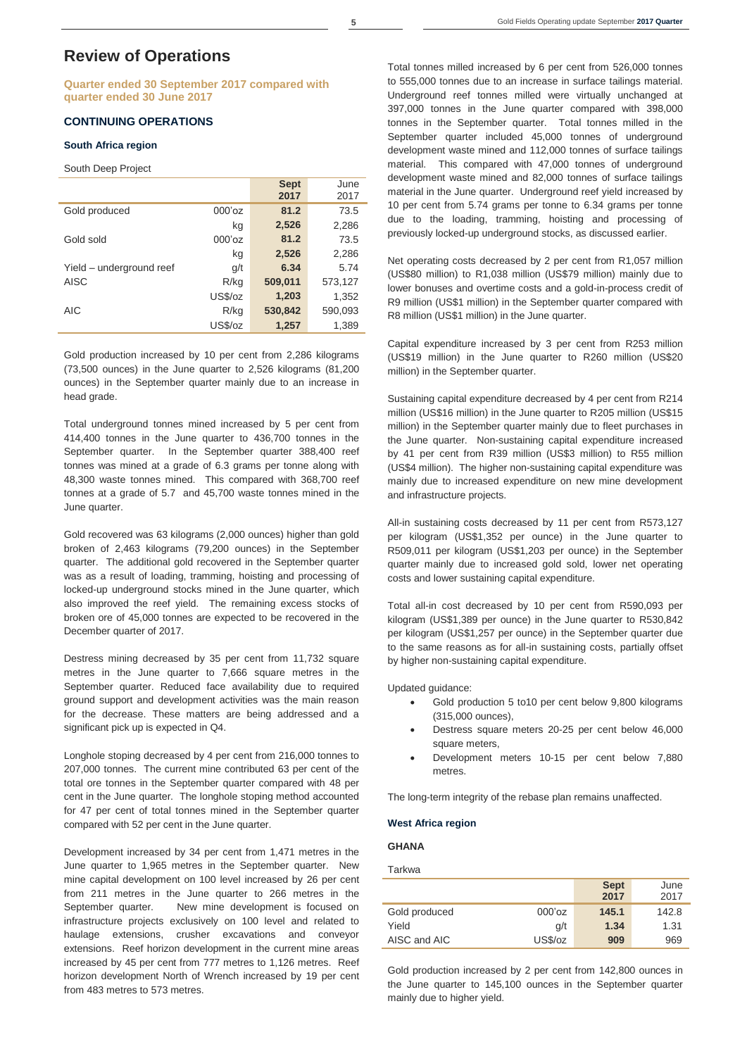# **Review of Operations**

**Quarter ended 30 September 2017 compared with quarter ended 30 June 2017**

### **CONTINUING OPERATIONS**

#### **South Africa region**

#### South Deep Project

|                          |           | <b>Sept</b><br>2017 | June<br>2017 |
|--------------------------|-----------|---------------------|--------------|
| Gold produced            | $000'$ oz | 81.2                | 73.5         |
|                          | kg        | 2,526               | 2,286        |
| Gold sold                | $000'$ oz | 81.2                | 73.5         |
|                          | kg        | 2,526               | 2,286        |
| Yield – underground reef | q/t       | 6.34                | 5.74         |
| <b>AISC</b>              | R/kg      | 509,011             | 573,127      |
|                          | US\$/oz   | 1,203               | 1,352        |
| <b>AIC</b>               | R/kg      | 530,842             | 590,093      |
|                          | US\$/oz   | 1,257               | 1,389        |

Gold production increased by 10 per cent from 2,286 kilograms (73,500 ounces) in the June quarter to 2,526 kilograms (81,200 ounces) in the September quarter mainly due to an increase in head grade.

Total underground tonnes mined increased by 5 per cent from 414,400 tonnes in the June quarter to 436,700 tonnes in the September quarter. In the September quarter 388,400 reef tonnes was mined at a grade of 6.3 grams per tonne along with 48,300 waste tonnes mined. This compared with 368,700 reef tonnes at a grade of 5.7 and 45,700 waste tonnes mined in the June quarter.

Gold recovered was 63 kilograms (2,000 ounces) higher than gold broken of 2,463 kilograms (79,200 ounces) in the September quarter. The additional gold recovered in the September quarter was as a result of loading, tramming, hoisting and processing of locked-up underground stocks mined in the June quarter, which also improved the reef yield. The remaining excess stocks of broken ore of 45,000 tonnes are expected to be recovered in the December quarter of 2017.

Destress mining decreased by 35 per cent from 11,732 square metres in the June quarter to 7,666 square metres in the September quarter. Reduced face availability due to required ground support and development activities was the main reason for the decrease. These matters are being addressed and a significant pick up is expected in Q4.

Longhole stoping decreased by 4 per cent from 216,000 tonnes to 207,000 tonnes. The current mine contributed 63 per cent of the total ore tonnes in the September quarter compared with 48 per cent in the June quarter. The longhole stoping method accounted for 47 per cent of total tonnes mined in the September quarter compared with 52 per cent in the June quarter.

Development increased by 34 per cent from 1,471 metres in the June quarter to 1,965 metres in the September quarter. New mine capital development on 100 level increased by 26 per cent from 211 metres in the June quarter to 266 metres in the September quarter. New mine development is focused on infrastructure projects exclusively on 100 level and related to haulage extensions, crusher excavations and conveyor extensions. Reef horizon development in the current mine areas increased by 45 per cent from 777 metres to 1,126 metres. Reef horizon development North of Wrench increased by 19 per cent from 483 metres to 573 metres.

Total tonnes milled increased by 6 per cent from 526,000 tonnes to 555,000 tonnes due to an increase in surface tailings material. Underground reef tonnes milled were virtually unchanged at 397,000 tonnes in the June quarter compared with 398,000 tonnes in the September quarter. Total tonnes milled in the September quarter included 45,000 tonnes of underground development waste mined and 112,000 tonnes of surface tailings material. This compared with 47,000 tonnes of underground development waste mined and 82,000 tonnes of surface tailings material in the June quarter. Underground reef yield increased by 10 per cent from 5.74 grams per tonne to 6.34 grams per tonne due to the loading, tramming, hoisting and processing of previously locked-up underground stocks, as discussed earlier.

Net operating costs decreased by 2 per cent from R1,057 million (US\$80 million) to R1,038 million (US\$79 million) mainly due to lower bonuses and overtime costs and a gold-in-process credit of R9 million (US\$1 million) in the September quarter compared with R8 million (US\$1 million) in the June quarter.

Capital expenditure increased by 3 per cent from R253 million (US\$19 million) in the June quarter to R260 million (US\$20 million) in the September quarter.

Sustaining capital expenditure decreased by 4 per cent from R214 million (US\$16 million) in the June quarter to R205 million (US\$15 million) in the September quarter mainly due to fleet purchases in the June quarter. Non-sustaining capital expenditure increased by 41 per cent from R39 million (US\$3 million) to R55 million (US\$4 million). The higher non-sustaining capital expenditure was mainly due to increased expenditure on new mine development and infrastructure projects.

All-in sustaining costs decreased by 11 per cent from R573,127 per kilogram (US\$1,352 per ounce) in the June quarter to R509,011 per kilogram (US\$1,203 per ounce) in the September quarter mainly due to increased gold sold, lower net operating costs and lower sustaining capital expenditure.

Total all-in cost decreased by 10 per cent from R590,093 per kilogram (US\$1,389 per ounce) in the June quarter to R530,842 per kilogram (US\$1,257 per ounce) in the September quarter due to the same reasons as for all-in sustaining costs, partially offset by higher non-sustaining capital expenditure.

Updated guidance:

- Gold production 5 to10 per cent below 9,800 kilograms (315,000 ounces),
- Destress square meters 20-25 per cent below 46,000 square meters.
- Development meters 10-15 per cent below 7,880 metres.

The long-term integrity of the rebase plan remains unaffected.

#### **West Africa region**

### **GHANA**

Tarkwa

|               |           | <b>Sept</b><br>2017 | June<br>2017 |
|---------------|-----------|---------------------|--------------|
| Gold produced | $000'$ oz | 145.1               | 142.8        |
| Yield         | g/t       | 1.34                | 1.31         |
| AISC and AIC  | US\$/oz   | 909                 | 969          |

Gold production increased by 2 per cent from 142,800 ounces in the June quarter to 145,100 ounces in the September quarter mainly due to higher yield.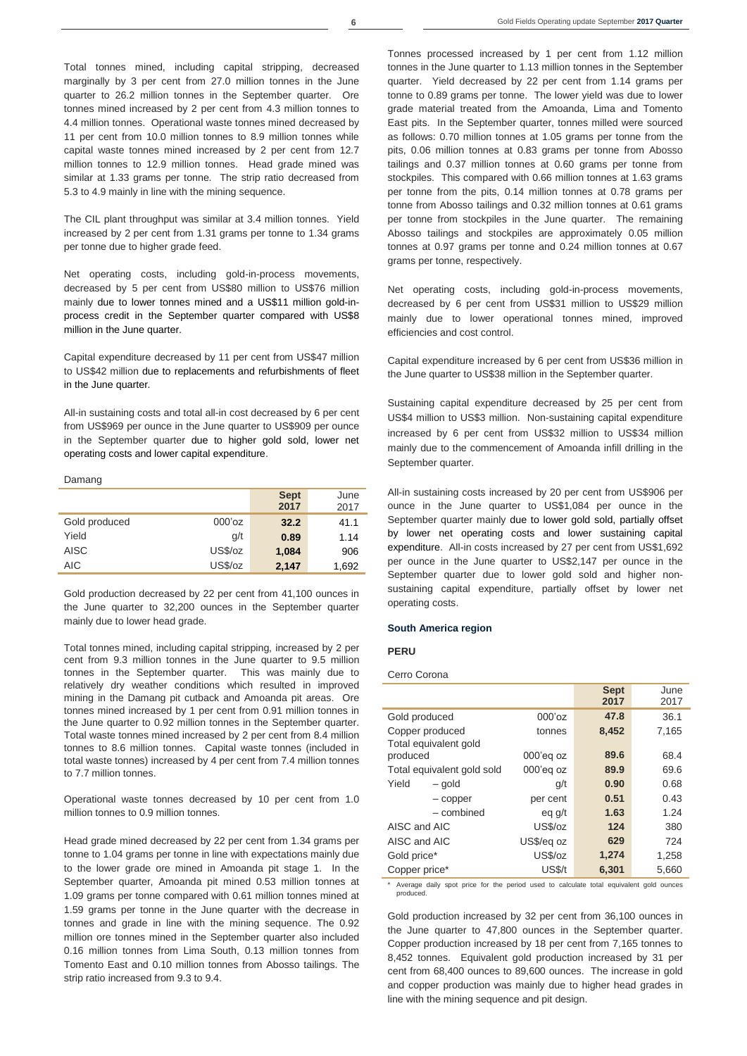Total tonnes mined, including capital stripping, decreased marginally by 3 per cent from 27.0 million tonnes in the June quarter to 26.2 million tonnes in the September quarter. Ore tonnes mined increased by 2 per cent from 4.3 million tonnes to 4.4 million tonnes. Operational waste tonnes mined decreased by 11 per cent from 10.0 million tonnes to 8.9 million tonnes while capital waste tonnes mined increased by 2 per cent from 12.7 million tonnes to 12.9 million tonnes. Head grade mined was similar at 1.33 grams per tonne. The strip ratio decreased from 5.3 to 4.9 mainly in line with the mining sequence.

The CIL plant throughput was similar at 3.4 million tonnes. Yield increased by 2 per cent from 1.31 grams per tonne to 1.34 grams per tonne due to higher grade feed.

Net operating costs, including gold-in-process movements, decreased by 5 per cent from US\$80 million to US\$76 million mainly due to lower tonnes mined and a US\$11 million gold-inprocess credit in the September quarter compared with US\$8 million in the June quarter.

Capital expenditure decreased by 11 per cent from US\$47 million to US\$42 million due to replacements and refurbishments of fleet in the June quarter.

All-in sustaining costs and total all-in cost decreased by 6 per cent from US\$969 per ounce in the June quarter to US\$909 per ounce in the September quarter due to higher gold sold, lower net operating costs and lower capital expenditure.

#### Damang

|               |           | <b>Sept</b><br>2017 | June<br>2017 |
|---------------|-----------|---------------------|--------------|
| Gold produced | $000'$ oz | 32.2                | 41.1         |
| Yield         | q/t       | 0.89                | 1.14         |
| <b>AISC</b>   | US\$/oz   | 1,084               | 906          |
| <b>AIC</b>    | US\$/oz   | 2,147               | 1,692        |

Gold production decreased by 22 per cent from 41,100 ounces in the June quarter to 32,200 ounces in the September quarter mainly due to lower head grade.

Total tonnes mined, including capital stripping, increased by 2 per cent from 9.3 million tonnes in the June quarter to 9.5 million tonnes in the September quarter. This was mainly due to relatively dry weather conditions which resulted in improved mining in the Damang pit cutback and Amoanda pit areas. Ore tonnes mined increased by 1 per cent from 0.91 million tonnes in the June quarter to 0.92 million tonnes in the September quarter. Total waste tonnes mined increased by 2 per cent from 8.4 million tonnes to 8.6 million tonnes. Capital waste tonnes (included in total waste tonnes) increased by 4 per cent from 7.4 million tonnes to 7.7 million tonnes.

Operational waste tonnes decreased by 10 per cent from 1.0 million tonnes to 0.9 million tonnes.

Head grade mined decreased by 22 per cent from 1.34 grams per tonne to 1.04 grams per tonne in line with expectations mainly due to the lower grade ore mined in Amoanda pit stage 1. In the September quarter, Amoanda pit mined 0.53 million tonnes at 1.09 grams per tonne compared with 0.61 million tonnes mined at 1.59 grams per tonne in the June quarter with the decrease in tonnes and grade in line with the mining sequence. The 0.92 million ore tonnes mined in the September quarter also included 0.16 million tonnes from Lima South, 0.13 million tonnes from Tomento East and 0.10 million tonnes from Abosso tailings. The strip ratio increased from 9.3 to 9.4.

Tonnes processed increased by 1 per cent from 1.12 million tonnes in the June quarter to 1.13 million tonnes in the September quarter. Yield decreased by 22 per cent from 1.14 grams per tonne to 0.89 grams per tonne. The lower yield was due to lower grade material treated from the Amoanda, Lima and Tomento East pits. In the September quarter, tonnes milled were sourced as follows: 0.70 million tonnes at 1.05 grams per tonne from the pits, 0.06 million tonnes at 0.83 grams per tonne from Abosso tailings and 0.37 million tonnes at 0.60 grams per tonne from stockpiles. This compared with 0.66 million tonnes at 1.63 grams per tonne from the pits, 0.14 million tonnes at 0.78 grams per tonne from Abosso tailings and 0.32 million tonnes at 0.61 grams per tonne from stockpiles in the June quarter. The remaining Abosso tailings and stockpiles are approximately 0.05 million tonnes at 0.97 grams per tonne and 0.24 million tonnes at 0.67 grams per tonne, respectively.

Net operating costs, including gold-in-process movements, decreased by 6 per cent from US\$31 million to US\$29 million mainly due to lower operational tonnes mined, improved efficiencies and cost control.

Capital expenditure increased by 6 per cent from US\$36 million in the June quarter to US\$38 million in the September quarter.

Sustaining capital expenditure decreased by 25 per cent from US\$4 million to US\$3 million. Non-sustaining capital expenditure increased by 6 per cent from US\$32 million to US\$34 million mainly due to the commencement of Amoanda infill drilling in the September quarter.

All-in sustaining costs increased by 20 per cent from US\$906 per ounce in the June quarter to US\$1,084 per ounce in the September quarter mainly due to lower gold sold, partially offset by lower net operating costs and lower sustaining capital expenditure. All-in costs increased by 27 per cent from US\$1,692 per ounce in the June quarter to US\$2,147 per ounce in the September quarter due to lower gold sold and higher nonsustaining capital expenditure, partially offset by lower net operating costs.

#### **South America region**

#### **PERU**

Cerro Corona

|                                   |              | <b>Sept</b><br>2017 | June<br>2017 |
|-----------------------------------|--------------|---------------------|--------------|
| Gold produced                     | $000'$ oz    | 47.8                | 36.1         |
| Copper produced                   | tonnes       | 8,452               | 7,165        |
| Total equivalent gold<br>produced | $000'$ eg oz | 89.6                | 68.4         |
| Total equivalent gold sold        | $000'$ eg oz | 89.9                | 69.6         |
| Yield<br>- gold                   | g/t          | 0.90                | 0.68         |
| - copper                          | per cent     | 0.51                | 0.43         |
| - combined                        | eg g/t       | 1.63                | 1.24         |
| AISC and AIC                      | US\$/oz      | 124                 | 380          |
| AISC and AIC                      | US\$/eg oz   | 629                 | 724          |
| Gold price*                       | US\$/oz      | 1,274               | 1,258        |
| Copper price*                     | US\$/t       | 6,301               | 5,660        |

\* Average daily spot price for the period used to calculate total equivalent gold ounces produced

Gold production increased by 32 per cent from 36,100 ounces in the June quarter to 47,800 ounces in the September quarter. Copper production increased by 18 per cent from 7,165 tonnes to 8,452 tonnes. Equivalent gold production increased by 31 per cent from 68,400 ounces to 89,600 ounces. The increase in gold and copper production was mainly due to higher head grades in line with the mining sequence and pit design.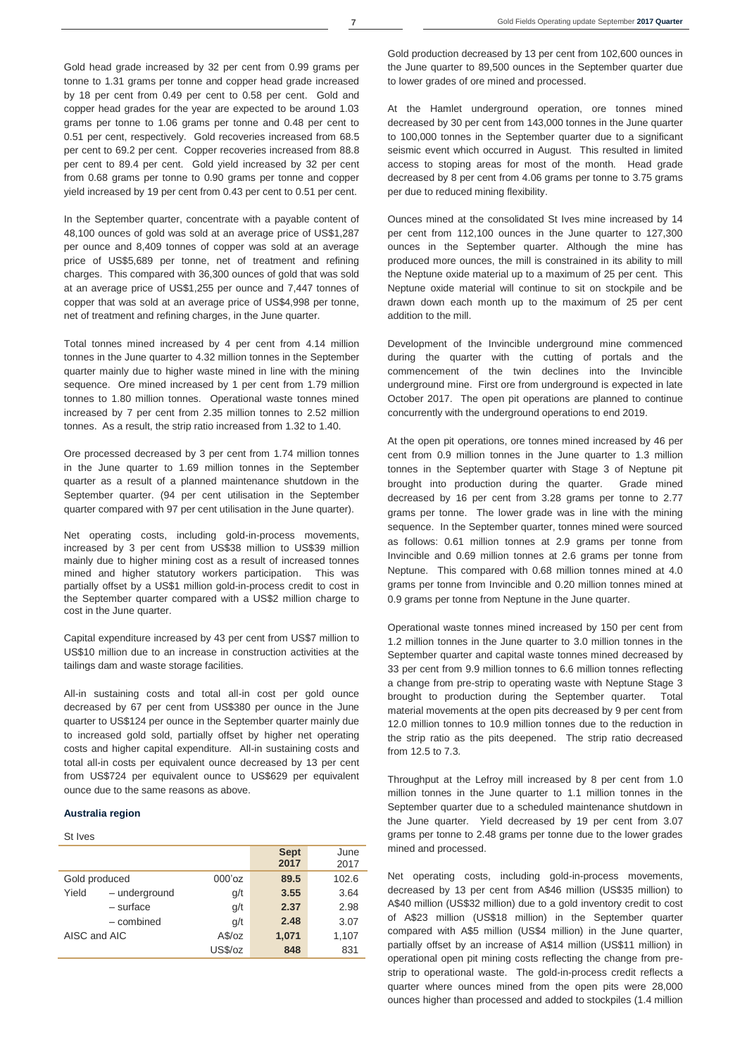Gold head grade increased by 32 per cent from 0.99 grams per tonne to 1.31 grams per tonne and copper head grade increased by 18 per cent from 0.49 per cent to 0.58 per cent. Gold and copper head grades for the year are expected to be around 1.03 grams per tonne to 1.06 grams per tonne and 0.48 per cent to 0.51 per cent, respectively. Gold recoveries increased from 68.5 per cent to 69.2 per cent. Copper recoveries increased from 88.8 per cent to 89.4 per cent. Gold yield increased by 32 per cent from 0.68 grams per tonne to 0.90 grams per tonne and copper yield increased by 19 per cent from 0.43 per cent to 0.51 per cent.

In the September quarter, concentrate with a payable content of 48,100 ounces of gold was sold at an average price of US\$1,287 per ounce and 8,409 tonnes of copper was sold at an average price of US\$5,689 per tonne, net of treatment and refining charges. This compared with 36,300 ounces of gold that was sold at an average price of US\$1,255 per ounce and 7,447 tonnes of copper that was sold at an average price of US\$4,998 per tonne, net of treatment and refining charges, in the June quarter.

Total tonnes mined increased by 4 per cent from 4.14 million tonnes in the June quarter to 4.32 million tonnes in the September quarter mainly due to higher waste mined in line with the mining sequence. Ore mined increased by 1 per cent from 1.79 million tonnes to 1.80 million tonnes. Operational waste tonnes mined increased by 7 per cent from 2.35 million tonnes to 2.52 million tonnes. As a result, the strip ratio increased from 1.32 to 1.40.

Ore processed decreased by 3 per cent from 1.74 million tonnes in the June quarter to 1.69 million tonnes in the September quarter as a result of a planned maintenance shutdown in the September quarter. (94 per cent utilisation in the September quarter compared with 97 per cent utilisation in the June quarter).

Net operating costs, including gold-in-process movements, increased by 3 per cent from US\$38 million to US\$39 million mainly due to higher mining cost as a result of increased tonnes mined and higher statutory workers participation. This was partially offset by a US\$1 million gold-in-process credit to cost in the September quarter compared with a US\$2 million charge to cost in the June quarter.

Capital expenditure increased by 43 per cent from US\$7 million to US\$10 million due to an increase in construction activities at the tailings dam and waste storage facilities.

All-in sustaining costs and total all-in cost per gold ounce decreased by 67 per cent from US\$380 per ounce in the June quarter to US\$124 per ounce in the September quarter mainly due to increased gold sold, partially offset by higher net operating costs and higher capital expenditure. All-in sustaining costs and total all-in costs per equivalent ounce decreased by 13 per cent from US\$724 per equivalent ounce to US\$629 per equivalent ounce due to the same reasons as above.

#### **Australia region**

#### St Ives **Sept 2017 June** 2017 Gold produced 000'oz **89.5** 102.6 Yield – underground g/t **3.55** 3.64 – surface g/t **2.37** 2.98 – combined g/t **2.48** 3.07 AISC and AIC **A\$/oz 1,071** 1,107 US\$/oz **848** 831

Gold production decreased by 13 per cent from 102,600 ounces in the June quarter to 89,500 ounces in the September quarter due to lower grades of ore mined and processed.

At the Hamlet underground operation, ore tonnes mined decreased by 30 per cent from 143,000 tonnes in the June quarter to 100,000 tonnes in the September quarter due to a significant seismic event which occurred in August. This resulted in limited access to stoping areas for most of the month. Head grade decreased by 8 per cent from 4.06 grams per tonne to 3.75 grams per due to reduced mining flexibility.

Ounces mined at the consolidated St Ives mine increased by 14 per cent from 112,100 ounces in the June quarter to 127,300 ounces in the September quarter. Although the mine has produced more ounces, the mill is constrained in its ability to mill the Neptune oxide material up to a maximum of 25 per cent. This Neptune oxide material will continue to sit on stockpile and be drawn down each month up to the maximum of 25 per cent addition to the mill.

Development of the Invincible underground mine commenced during the quarter with the cutting of portals and the commencement of the twin declines into the Invincible underground mine. First ore from underground is expected in late October 2017. The open pit operations are planned to continue concurrently with the underground operations to end 2019.

At the open pit operations, ore tonnes mined increased by 46 per cent from 0.9 million tonnes in the June quarter to 1.3 million tonnes in the September quarter with Stage 3 of Neptune pit brought into production during the quarter. Grade mined decreased by 16 per cent from 3.28 grams per tonne to 2.77 grams per tonne. The lower grade was in line with the mining sequence. In the September quarter, tonnes mined were sourced as follows: 0.61 million tonnes at 2.9 grams per tonne from Invincible and 0.69 million tonnes at 2.6 grams per tonne from Neptune. This compared with 0.68 million tonnes mined at 4.0 grams per tonne from Invincible and 0.20 million tonnes mined at 0.9 grams per tonne from Neptune in the June quarter.

Operational waste tonnes mined increased by 150 per cent from 1.2 million tonnes in the June quarter to 3.0 million tonnes in the September quarter and capital waste tonnes mined decreased by 33 per cent from 9.9 million tonnes to 6.6 million tonnes reflecting a change from pre-strip to operating waste with Neptune Stage 3 brought to production during the September quarter. Total material movements at the open pits decreased by 9 per cent from 12.0 million tonnes to 10.9 million tonnes due to the reduction in the strip ratio as the pits deepened. The strip ratio decreased from 12.5 to 7.3.

Throughput at the Lefroy mill increased by 8 per cent from 1.0 million tonnes in the June quarter to 1.1 million tonnes in the September quarter due to a scheduled maintenance shutdown in the June quarter. Yield decreased by 19 per cent from 3.07 grams per tonne to 2.48 grams per tonne due to the lower grades mined and processed.

Net operating costs, including gold-in-process movements, decreased by 13 per cent from A\$46 million (US\$35 million) to A\$40 million (US\$32 million) due to a gold inventory credit to cost of A\$23 million (US\$18 million) in the September quarter compared with A\$5 million (US\$4 million) in the June quarter, partially offset by an increase of A\$14 million (US\$11 million) in operational open pit mining costs reflecting the change from prestrip to operational waste. The gold-in-process credit reflects a quarter where ounces mined from the open pits were 28,000 ounces higher than processed and added to stockpiles (1.4 million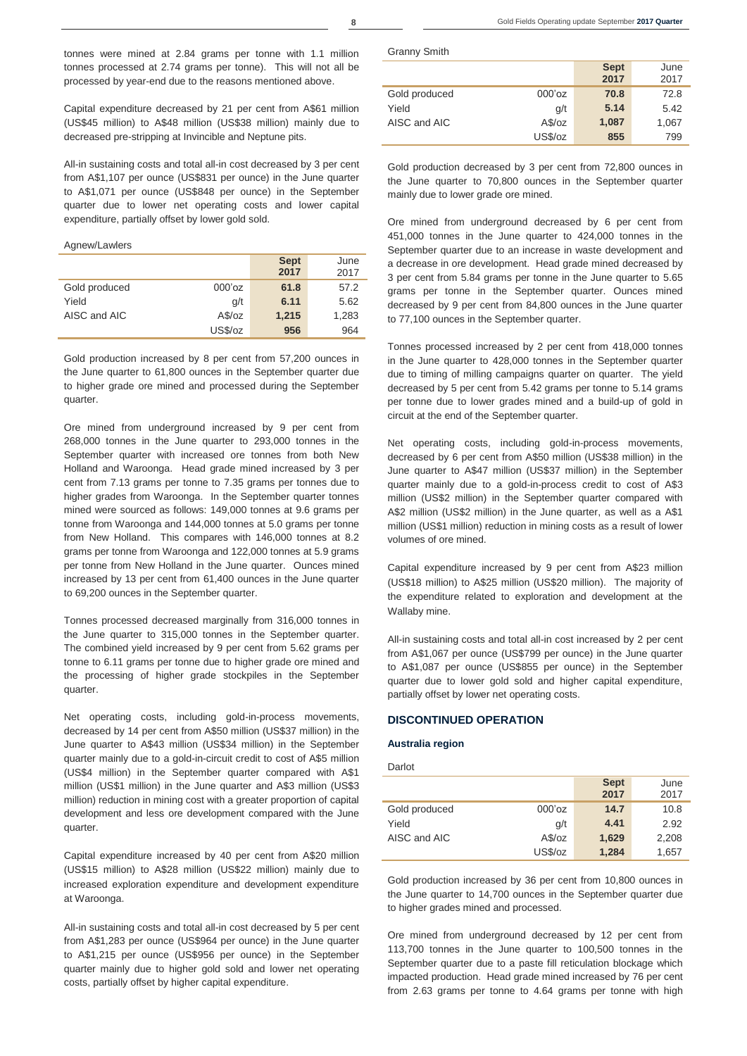tonnes were mined at 2.84 grams per tonne with 1.1 million tonnes processed at 2.74 grams per tonne). This will not all be processed by year-end due to the reasons mentioned above.

Capital expenditure decreased by 21 per cent from A\$61 million (US\$45 million) to A\$48 million (US\$38 million) mainly due to decreased pre-stripping at Invincible and Neptune pits.

All-in sustaining costs and total all-in cost decreased by 3 per cent from A\$1,107 per ounce (US\$831 per ounce) in the June quarter to A\$1,071 per ounce (US\$848 per ounce) in the September quarter due to lower net operating costs and lower capital expenditure, partially offset by lower gold sold.

#### Agnew/Lawlers

|               |           | <b>Sept</b><br>2017 | June<br>2017 |
|---------------|-----------|---------------------|--------------|
| Gold produced | $000'$ oz | 61.8                | 57.2         |
| Yield         | q/t       | 6.11                | 5.62         |
| AISC and AIC  | A\$/oz    | 1,215               | 1,283        |
|               | US\$/oz   | 956                 | 964          |

Gold production increased by 8 per cent from 57,200 ounces in the June quarter to 61,800 ounces in the September quarter due to higher grade ore mined and processed during the September quarter.

Ore mined from underground increased by 9 per cent from 268,000 tonnes in the June quarter to 293,000 tonnes in the September quarter with increased ore tonnes from both New Holland and Waroonga. Head grade mined increased by 3 per cent from 7.13 grams per tonne to 7.35 grams per tonnes due to higher grades from Waroonga. In the September quarter tonnes mined were sourced as follows: 149,000 tonnes at 9.6 grams per tonne from Waroonga and 144,000 tonnes at 5.0 grams per tonne from New Holland. This compares with 146,000 tonnes at 8.2 grams per tonne from Waroonga and 122,000 tonnes at 5.9 grams per tonne from New Holland in the June quarter. Ounces mined increased by 13 per cent from 61,400 ounces in the June quarter to 69,200 ounces in the September quarter.

Tonnes processed decreased marginally from 316,000 tonnes in the June quarter to 315,000 tonnes in the September quarter. The combined yield increased by 9 per cent from 5.62 grams per tonne to 6.11 grams per tonne due to higher grade ore mined and the processing of higher grade stockpiles in the September quarter.

Net operating costs, including gold-in-process movements, decreased by 14 per cent from A\$50 million (US\$37 million) in the June quarter to A\$43 million (US\$34 million) in the September quarter mainly due to a gold-in-circuit credit to cost of A\$5 million (US\$4 million) in the September quarter compared with A\$1 million (US\$1 million) in the June quarter and A\$3 million (US\$3 million) reduction in mining cost with a greater proportion of capital development and less ore development compared with the June quarter.

Capital expenditure increased by 40 per cent from A\$20 million (US\$15 million) to A\$28 million (US\$22 million) mainly due to increased exploration expenditure and development expenditure at Waroonga.

All-in sustaining costs and total all-in cost decreased by 5 per cent from A\$1,283 per ounce (US\$964 per ounce) in the June quarter to A\$1,215 per ounce (US\$956 per ounce) in the September quarter mainly due to higher gold sold and lower net operating costs, partially offset by higher capital expenditure.

Granny Smith

|               |           | <b>Sept</b><br>2017 | June<br>2017 |
|---------------|-----------|---------------------|--------------|
| Gold produced | $000'$ oz | 70.8                | 72.8         |
| Yield         | q/t       | 5.14                | 5.42         |
| AISC and AIC  | A\$/oz    | 1,087               | 1,067        |
|               | US\$/oz   | 855                 | 799          |

Gold production decreased by 3 per cent from 72,800 ounces in the June quarter to 70,800 ounces in the September quarter mainly due to lower grade ore mined.

Ore mined from underground decreased by 6 per cent from 451,000 tonnes in the June quarter to 424,000 tonnes in the September quarter due to an increase in waste development and a decrease in ore development. Head grade mined decreased by 3 per cent from 5.84 grams per tonne in the June quarter to 5.65 grams per tonne in the September quarter. Ounces mined decreased by 9 per cent from 84,800 ounces in the June quarter to 77,100 ounces in the September quarter.

Tonnes processed increased by 2 per cent from 418,000 tonnes in the June quarter to 428,000 tonnes in the September quarter due to timing of milling campaigns quarter on quarter. The yield decreased by 5 per cent from 5.42 grams per tonne to 5.14 grams per tonne due to lower grades mined and a build-up of gold in circuit at the end of the September quarter.

Net operating costs, including gold-in-process movements, decreased by 6 per cent from A\$50 million (US\$38 million) in the June quarter to A\$47 million (US\$37 million) in the September quarter mainly due to a gold-in-process credit to cost of A\$3 million (US\$2 million) in the September quarter compared with A\$2 million (US\$2 million) in the June quarter, as well as a A\$1 million (US\$1 million) reduction in mining costs as a result of lower volumes of ore mined.

Capital expenditure increased by 9 per cent from A\$23 million (US\$18 million) to A\$25 million (US\$20 million). The majority of the expenditure related to exploration and development at the Wallaby mine.

All-in sustaining costs and total all-in cost increased by 2 per cent from A\$1,067 per ounce (US\$799 per ounce) in the June quarter to A\$1,087 per ounce (US\$855 per ounce) in the September quarter due to lower gold sold and higher capital expenditure, partially offset by lower net operating costs.

### **DISCONTINUED OPERATION**

#### **Australia region**

### Darlot

|               |           | <b>Sept</b><br>2017 | June<br>2017 |
|---------------|-----------|---------------------|--------------|
| Gold produced | $000'$ oz | 14.7                | 10.8         |
| Yield         | g/t       | 4.41                | 2.92         |
| AISC and AIC  | A\$/oz    | 1,629               | 2,208        |
|               | US\$/oz   | 1,284               | 1,657        |

Gold production increased by 36 per cent from 10,800 ounces in the June quarter to 14,700 ounces in the September quarter due to higher grades mined and processed.

Ore mined from underground decreased by 12 per cent from 113,700 tonnes in the June quarter to 100,500 tonnes in the September quarter due to a paste fill reticulation blockage which impacted production. Head grade mined increased by 76 per cent from 2.63 grams per tonne to 4.64 grams per tonne with high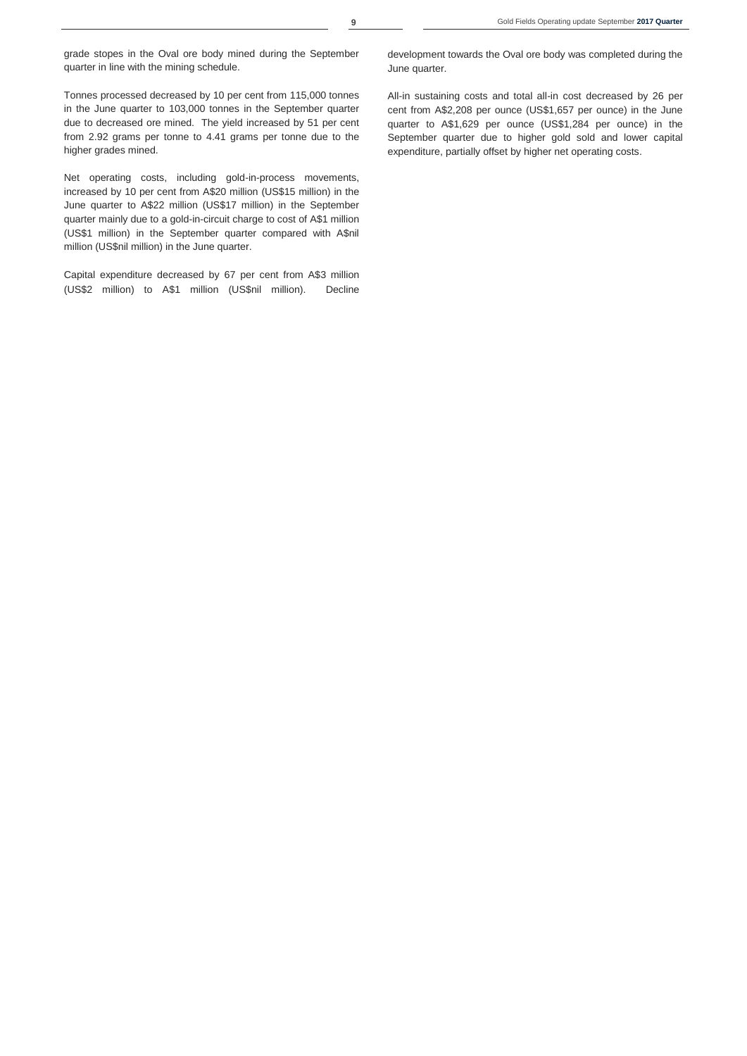grade stopes in the Oval ore body mined during the September quarter in line with the mining schedule.

Tonnes processed decreased by 10 per cent from 115,000 tonnes in the June quarter to 103,000 tonnes in the September quarter due to decreased ore mined. The yield increased by 51 per cent from 2.92 grams per tonne to 4.41 grams per tonne due to the higher grades mined.

Net operating costs, including gold-in-process movements, increased by 10 per cent from A\$20 million (US\$15 million) in the June quarter to A\$22 million (US\$17 million) in the September quarter mainly due to a gold-in-circuit charge to cost of A\$1 million (US\$1 million) in the September quarter compared with A\$nil million (US\$nil million) in the June quarter.

Capital expenditure decreased by 67 per cent from A\$3 million (US\$2 million) to A\$1 million (US\$nil million). Decline

development towards the Oval ore body was completed during the June quarter.

All-in sustaining costs and total all-in cost decreased by 26 per cent from A\$2,208 per ounce (US\$1,657 per ounce) in the June quarter to A\$1,629 per ounce (US\$1,284 per ounce) in the September quarter due to higher gold sold and lower capital expenditure, partially offset by higher net operating costs.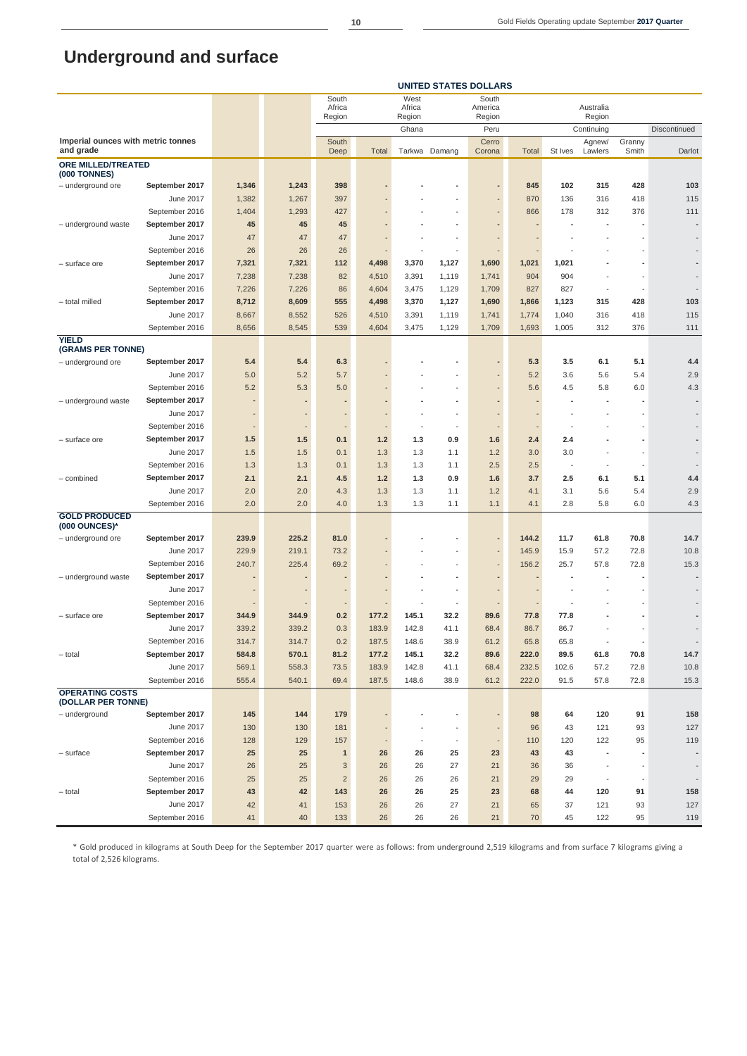# **Underground and surface**

|                                                  |                |       |       | South            |                          | West             |                          | South                    |       |                          |                     |        |                          |
|--------------------------------------------------|----------------|-------|-------|------------------|--------------------------|------------------|--------------------------|--------------------------|-------|--------------------------|---------------------|--------|--------------------------|
|                                                  |                |       |       | Africa<br>Region |                          | Africa<br>Region |                          | America<br>Region        |       |                          | Australia<br>Region |        |                          |
|                                                  |                |       |       |                  |                          | Ghana            |                          | Peru                     |       |                          | Continuing          |        | Discontinued             |
| Imperial ounces with metric tonnes               |                |       |       | South            |                          |                  |                          | Cerro                    |       |                          | Agnew/              | Granny |                          |
| and grade                                        |                |       |       | Deep             | Total                    |                  | Tarkwa Damang            | Corona                   | Total | St Ives                  | Lawlers             | Smith  | Darlot                   |
| <b>ORE MILLED/TREATED</b><br><b>(000 TONNES)</b> |                |       |       |                  |                          |                  |                          |                          |       |                          |                     |        |                          |
| - underground ore                                | September 2017 | 1,346 | 1,243 | 398              |                          |                  |                          |                          | 845   | 102                      | 315                 | 428    | 103                      |
|                                                  | June 2017      | 1,382 | 1,267 | 397              |                          |                  |                          |                          | 870   | 136                      | 316                 | 418    | 115                      |
|                                                  | September 2016 | 1,404 | 1,293 | 427              |                          |                  |                          |                          | 866   | 178                      | 312                 | 376    | 111                      |
| - underground waste                              | September 2017 | 45    | 45    | 45               |                          |                  |                          |                          |       |                          |                     |        |                          |
|                                                  | June 2017      | 47    | 47    | 47               |                          |                  |                          |                          |       |                          |                     |        |                          |
|                                                  | September 2016 | 26    | 26    | 26               |                          |                  | $\overline{\phantom{a}}$ |                          |       |                          |                     |        |                          |
| – surface ore                                    | September 2017 | 7,321 | 7,321 | 112              | 4,498                    | 3,370            | 1,127                    | 1,690                    | 1,021 | 1,021                    |                     |        |                          |
|                                                  | June 2017      | 7,238 | 7,238 | 82               | 4,510                    | 3,391            | 1,119                    | 1,741                    | 904   | 904                      |                     |        |                          |
|                                                  | September 2016 | 7,226 | 7,226 | 86               | 4,604                    | 3,475            | 1,129                    | 1,709                    | 827   | 827                      | ÷,                  |        |                          |
| - total milled                                   | September 2017 | 8,712 | 8,609 | 555              | 4,498                    | 3,370            | 1,127                    | 1,690                    | 1,866 | 1,123                    | 315                 | 428    | 103                      |
|                                                  | June 2017      | 8,667 | 8,552 | 526              | 4,510                    | 3,391            | 1,119                    | 1,741                    | 1,774 | 1,040                    | 316                 | 418    | 115                      |
|                                                  | September 2016 | 8,656 | 8,545 | 539              | 4,604                    | 3,475            | 1,129                    | 1,709                    | 1,693 | 1,005                    | 312                 | 376    | 111                      |
| <b>YIELD</b><br>(GRAMS PER TONNE)                |                |       |       |                  |                          |                  |                          |                          |       |                          |                     |        |                          |
| - underground ore                                | September 2017 | 5.4   | 5.4   | 6.3              |                          |                  |                          |                          | 5.3   | 3.5                      | 6.1                 | 5.1    | 4.4                      |
|                                                  | June 2017      | 5.0   | 5.2   | 5.7              |                          |                  |                          |                          | 5.2   | 3.6                      | 5.6                 | 5.4    | 2.9                      |
|                                                  | September 2016 | 5.2   | 5.3   | 5.0              |                          |                  |                          |                          | 5.6   | 4.5                      | 5.8                 | 6.0    | 4.3                      |
| - underground waste                              | September 2017 |       |       |                  |                          |                  |                          |                          |       | ٠                        |                     |        |                          |
|                                                  | June 2017      |       |       |                  |                          |                  |                          |                          |       |                          |                     |        |                          |
|                                                  | September 2016 |       |       | -                | $\overline{\phantom{a}}$ |                  | $\overline{\phantom{a}}$ |                          |       |                          |                     | L,     |                          |
| - surface ore                                    | September 2017 | 1.5   | $1.5$ | 0.1              | $1.2$                    | 1.3              | 0.9                      | 1.6                      | 2.4   | 2.4                      |                     |        |                          |
|                                                  | June 2017      | 1.5   | 1.5   | 0.1              | 1.3                      | 1.3              | 1.1                      | 1.2                      | 3.0   | 3.0                      |                     | ä,     |                          |
|                                                  | September 2016 | 1.3   | 1.3   | 0.1              | 1.3                      | 1.3              | 1.1                      | 2.5                      | 2.5   | $\overline{\phantom{a}}$ | ÷                   |        |                          |
| - combined                                       | September 2017 | 2.1   | 2.1   | 4.5              | 1.2                      | 1.3              | 0.9                      | 1.6                      | 3.7   | 2.5                      | 6.1                 | 5.1    | 4.4                      |
|                                                  | June 2017      | 2.0   | 2.0   | 4.3              | 1.3                      | 1.3              | 1.1                      | 1.2                      | 4.1   | 3.1                      | 5.6                 | 5.4    | 2.9                      |
|                                                  | September 2016 | 2.0   | 2.0   | 4.0              | 1.3                      | 1.3              | 1.1                      | 1.1                      | 4.1   | 2.8                      | 5.8                 | 6.0    | 4.3                      |
| <b>GOLD PRODUCED</b>                             |                |       |       |                  |                          |                  |                          |                          |       |                          |                     |        |                          |
| (000 OUNCES)*<br>- underground ore               | September 2017 | 239.9 | 225.2 | 81.0             |                          |                  |                          |                          | 144.2 | 11.7                     | 61.8                | 70.8   | 14.7                     |
|                                                  | June 2017      | 229.9 | 219.1 | 73.2             |                          |                  |                          |                          | 145.9 | 15.9                     | 57.2                | 72.8   | 10.8                     |
|                                                  | September 2016 | 240.7 | 225.4 | 69.2             |                          |                  |                          |                          | 156.2 | 25.7                     | 57.8                | 72.8   | 15.3                     |
| - underground waste                              | September 2017 |       |       |                  |                          |                  |                          |                          |       |                          |                     |        |                          |
|                                                  | June 2017      |       |       |                  |                          |                  |                          |                          |       |                          |                     |        |                          |
|                                                  | September 2016 |       |       | $\overline{a}$   |                          |                  | $\overline{\phantom{a}}$ |                          |       |                          |                     |        |                          |
| - surface ore                                    | September 2017 | 344.9 | 344.9 | 0.2              | 177.2                    | 145.1            | 32.2                     | 89.6                     | 77.8  | 77.8                     |                     |        |                          |
|                                                  | June 2017      | 339.2 | 339.2 | 0.3              | 183.9                    | 142.8            | 41.1                     | 68.4                     | 86.7  | 86.7                     |                     |        |                          |
|                                                  | September 2016 | 314.7 | 314.7 | 0.2              | 187.5                    | 148.6            | 38.9                     | 61.2                     | 65.8  | 65.8                     |                     |        |                          |
| - total                                          | September 2017 | 584.8 | 570.1 | 81.2             | 177.2                    | 145.1            | 32.2                     | 89.6                     | 222.0 | 89.5                     | 61.8                | 70.8   | 14.7                     |
|                                                  | June 2017      | 569.1 | 558.3 | 73.5             | 183.9                    | 142.8            | 41.1                     | 68.4                     | 232.5 | 102.6                    | 57.2                | 72.8   | 10.8                     |
|                                                  | September 2016 | 555.4 | 540.1 | 69.4             | 187.5                    | 148.6            | 38.9                     | 61.2                     | 222.0 | 91.5                     | 57.8                | 72.8   | 15.3                     |
| <b>OPERATING COSTS</b><br>(DOLLAR PER TONNE)     |                |       |       |                  |                          |                  |                          |                          |       |                          |                     |        |                          |
| - underground                                    | September 2017 | 145   | 144   | 179              |                          |                  | ٠                        |                          | 98    | 64                       | 120                 | 91     | 158                      |
|                                                  | June 2017      | 130   | 130   | 181              |                          |                  |                          |                          | 96    | 43                       | 121                 | 93     | 127                      |
|                                                  | September 2016 | 128   | 129   | 157              |                          |                  | $\overline{\phantom{a}}$ | $\overline{\phantom{a}}$ | 110   | 120                      | 122                 | 95     | 119                      |
| $-$ surface                                      | September 2017 | 25    | 25    | $\mathbf{1}$     | 26                       | 26               | 25                       | 23                       | 43    | 43                       | ä,                  |        | $\overline{\phantom{a}}$ |
|                                                  | June 2017      | 26    | 25    | 3                | 26                       | 26               | 27                       | 21                       | 36    | 36                       |                     |        | $\overline{\phantom{a}}$ |
|                                                  | September 2016 | 25    | 25    | $\overline{2}$   | 26                       | 26               | 26                       | 21                       | 29    | 29                       |                     |        |                          |
| - total                                          | September 2017 | 43    | 42    | 143              | 26                       | 26               | 25                       | 23                       | 68    | 44                       | 120                 | 91     | 158                      |
|                                                  | June 2017      | 42    | 41    | 153              | 26                       | 26               | 27                       | 21                       | 65    | 37                       | 121                 | 93     | 127                      |
|                                                  | September 2016 | 41    | 40    | 133              | 26                       | 26               | 26                       | 21                       | 70    | 45                       | 122                 | 95     | 119                      |

**UNITED STATES DOLLARS**

\* Gold produced in kilograms at South Deep for the September 2017 quarter were as follows: from underground 2,519 kilograms and from surface 7 kilograms giving a total of 2,526 kilograms.